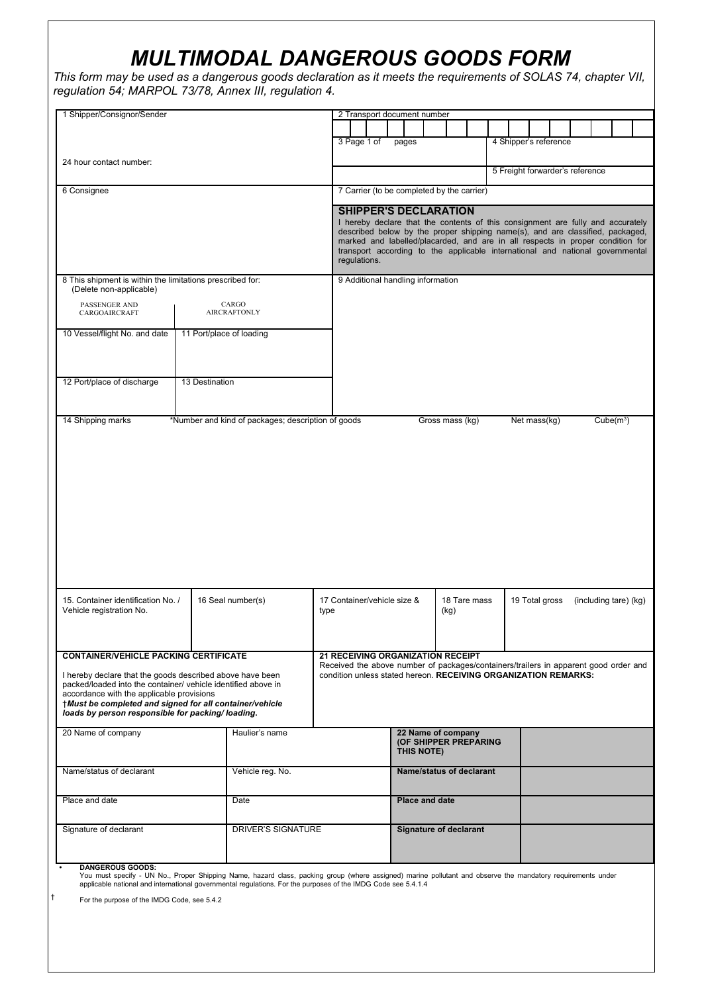## *MULTIMODAL DANGEROUS GOODS FORM*

*This form may be used as a dangerous goods declaration as it meets the requirements of SOLAS 74, chapter VII, regulation 54; MARPOL 73/78, Annex III, regulation 4.*

| 1 Shipper/Consignor/Sender                                                                                 |                     |                                                                                                                                                                                                                                                                              |                                                                                      |                                                                                | 2 Transport document number       |                       |      |              |  |  |                                 |  |                       |  |  |  |  |
|------------------------------------------------------------------------------------------------------------|---------------------|------------------------------------------------------------------------------------------------------------------------------------------------------------------------------------------------------------------------------------------------------------------------------|--------------------------------------------------------------------------------------|--------------------------------------------------------------------------------|-----------------------------------|-----------------------|------|--------------|--|--|---------------------------------|--|-----------------------|--|--|--|--|
|                                                                                                            |                     |                                                                                                                                                                                                                                                                              |                                                                                      |                                                                                |                                   |                       |      |              |  |  |                                 |  |                       |  |  |  |  |
|                                                                                                            |                     |                                                                                                                                                                                                                                                                              | 3 Page 1 of                                                                          |                                                                                | pages                             |                       |      |              |  |  | 4 Shipper's reference           |  |                       |  |  |  |  |
|                                                                                                            |                     |                                                                                                                                                                                                                                                                              |                                                                                      |                                                                                |                                   |                       |      |              |  |  |                                 |  |                       |  |  |  |  |
| 24 hour contact number:                                                                                    |                     |                                                                                                                                                                                                                                                                              |                                                                                      |                                                                                |                                   |                       |      |              |  |  | 5 Freight forwarder's reference |  |                       |  |  |  |  |
| 6 Consignee                                                                                                |                     |                                                                                                                                                                                                                                                                              |                                                                                      | 7 Carrier (to be completed by the carrier)                                     |                                   |                       |      |              |  |  |                                 |  |                       |  |  |  |  |
|                                                                                                            |                     |                                                                                                                                                                                                                                                                              |                                                                                      |                                                                                |                                   |                       |      |              |  |  |                                 |  |                       |  |  |  |  |
|                                                                                                            |                     |                                                                                                                                                                                                                                                                              |                                                                                      |                                                                                | <b>SHIPPER'S DECLARATION</b>      |                       |      |              |  |  |                                 |  |                       |  |  |  |  |
|                                                                                                            |                     | I hereby declare that the contents of this consignment are fully and accurately<br>described below by the proper shipping name(s), and are classified, packaged,                                                                                                             |                                                                                      |                                                                                |                                   |                       |      |              |  |  |                                 |  |                       |  |  |  |  |
|                                                                                                            |                     |                                                                                                                                                                                                                                                                              |                                                                                      | marked and labelled/placarded, and are in all respects in proper condition for |                                   |                       |      |              |  |  |                                 |  |                       |  |  |  |  |
|                                                                                                            |                     | transport according to the applicable international and national governmental<br>regulations.                                                                                                                                                                                |                                                                                      |                                                                                |                                   |                       |      |              |  |  |                                 |  |                       |  |  |  |  |
| 8 This shipment is within the limitations prescribed for:                                                  |                     |                                                                                                                                                                                                                                                                              |                                                                                      |                                                                                | 9 Additional handling information |                       |      |              |  |  |                                 |  |                       |  |  |  |  |
| (Delete non-applicable)                                                                                    |                     |                                                                                                                                                                                                                                                                              |                                                                                      |                                                                                |                                   |                       |      |              |  |  |                                 |  |                       |  |  |  |  |
| PASSENGER AND                                                                                              |                     | CARGO                                                                                                                                                                                                                                                                        |                                                                                      |                                                                                |                                   |                       |      |              |  |  |                                 |  |                       |  |  |  |  |
| CARGOAIRCRAFT                                                                                              | <b>AIRCRAFTONLY</b> |                                                                                                                                                                                                                                                                              |                                                                                      |                                                                                |                                   |                       |      |              |  |  |                                 |  |                       |  |  |  |  |
| 10 Vessel/flight No. and date                                                                              |                     | 11 Port/place of loading                                                                                                                                                                                                                                                     |                                                                                      |                                                                                |                                   |                       |      |              |  |  |                                 |  |                       |  |  |  |  |
|                                                                                                            |                     |                                                                                                                                                                                                                                                                              |                                                                                      |                                                                                |                                   |                       |      |              |  |  |                                 |  |                       |  |  |  |  |
|                                                                                                            |                     |                                                                                                                                                                                                                                                                              |                                                                                      |                                                                                |                                   |                       |      |              |  |  |                                 |  |                       |  |  |  |  |
| 12 Port/place of discharge                                                                                 | 13 Destination      |                                                                                                                                                                                                                                                                              |                                                                                      |                                                                                |                                   |                       |      |              |  |  |                                 |  |                       |  |  |  |  |
|                                                                                                            |                     |                                                                                                                                                                                                                                                                              |                                                                                      |                                                                                |                                   |                       |      |              |  |  |                                 |  |                       |  |  |  |  |
|                                                                                                            |                     |                                                                                                                                                                                                                                                                              |                                                                                      |                                                                                |                                   |                       |      |              |  |  |                                 |  |                       |  |  |  |  |
| 14 Shipping marks                                                                                          |                     | *Number and kind of packages; description of goods                                                                                                                                                                                                                           |                                                                                      |                                                                                |                                   | Gross mass (kg)       |      |              |  |  | Net mass(kg)                    |  | Cube(m <sup>3</sup> ) |  |  |  |  |
|                                                                                                            |                     |                                                                                                                                                                                                                                                                              |                                                                                      |                                                                                |                                   |                       |      |              |  |  |                                 |  |                       |  |  |  |  |
|                                                                                                            |                     |                                                                                                                                                                                                                                                                              |                                                                                      |                                                                                |                                   |                       |      |              |  |  |                                 |  |                       |  |  |  |  |
|                                                                                                            |                     |                                                                                                                                                                                                                                                                              |                                                                                      |                                                                                |                                   |                       |      |              |  |  |                                 |  |                       |  |  |  |  |
|                                                                                                            |                     |                                                                                                                                                                                                                                                                              |                                                                                      |                                                                                |                                   |                       |      |              |  |  |                                 |  |                       |  |  |  |  |
|                                                                                                            |                     |                                                                                                                                                                                                                                                                              |                                                                                      |                                                                                |                                   |                       |      |              |  |  |                                 |  |                       |  |  |  |  |
|                                                                                                            |                     |                                                                                                                                                                                                                                                                              |                                                                                      |                                                                                |                                   |                       |      |              |  |  |                                 |  |                       |  |  |  |  |
|                                                                                                            |                     |                                                                                                                                                                                                                                                                              |                                                                                      |                                                                                |                                   |                       |      |              |  |  |                                 |  |                       |  |  |  |  |
|                                                                                                            |                     |                                                                                                                                                                                                                                                                              |                                                                                      |                                                                                |                                   |                       |      |              |  |  |                                 |  |                       |  |  |  |  |
|                                                                                                            |                     |                                                                                                                                                                                                                                                                              |                                                                                      |                                                                                |                                   |                       |      |              |  |  |                                 |  |                       |  |  |  |  |
|                                                                                                            |                     |                                                                                                                                                                                                                                                                              |                                                                                      |                                                                                |                                   |                       |      |              |  |  |                                 |  |                       |  |  |  |  |
|                                                                                                            |                     |                                                                                                                                                                                                                                                                              |                                                                                      |                                                                                |                                   |                       |      |              |  |  |                                 |  |                       |  |  |  |  |
|                                                                                                            |                     |                                                                                                                                                                                                                                                                              |                                                                                      |                                                                                |                                   |                       |      |              |  |  |                                 |  |                       |  |  |  |  |
| 16 Seal number(s)                                                                                          |                     |                                                                                                                                                                                                                                                                              |                                                                                      |                                                                                |                                   |                       |      |              |  |  | 19 Total gross                  |  |                       |  |  |  |  |
| 15. Container identification No. /<br>Vehicle registration No.                                             |                     |                                                                                                                                                                                                                                                                              | type                                                                                 | 17 Container/vehicle size &                                                    |                                   |                       | (kg) | 18 Tare mass |  |  |                                 |  | (including tare) (kg) |  |  |  |  |
|                                                                                                            |                     |                                                                                                                                                                                                                                                                              |                                                                                      |                                                                                |                                   |                       |      |              |  |  |                                 |  |                       |  |  |  |  |
|                                                                                                            |                     |                                                                                                                                                                                                                                                                              |                                                                                      |                                                                                |                                   |                       |      |              |  |  |                                 |  |                       |  |  |  |  |
| <b>CONTAINER/VEHICLE PACKING CERTIFICATE</b>                                                               |                     |                                                                                                                                                                                                                                                                              | <b>21 RECEIVING ORGANIZATION RECEIPT</b>                                             |                                                                                |                                   |                       |      |              |  |  |                                 |  |                       |  |  |  |  |
|                                                                                                            |                     |                                                                                                                                                                                                                                                                              | Received the above number of packages/containers/trailers in apparent good order and |                                                                                |                                   |                       |      |              |  |  |                                 |  |                       |  |  |  |  |
| I hereby declare that the goods described above have been                                                  |                     |                                                                                                                                                                                                                                                                              | condition unless stated hereon. RECEIVING ORGANIZATION REMARKS:                      |                                                                                |                                   |                       |      |              |  |  |                                 |  |                       |  |  |  |  |
| packed/loaded into the container/ vehicle identified above in<br>accordance with the applicable provisions |                     |                                                                                                                                                                                                                                                                              |                                                                                      |                                                                                |                                   |                       |      |              |  |  |                                 |  |                       |  |  |  |  |
| +Must be completed and signed for all container/vehicle                                                    |                     |                                                                                                                                                                                                                                                                              |                                                                                      |                                                                                |                                   |                       |      |              |  |  |                                 |  |                       |  |  |  |  |
| loads by person responsible for packing/loading.                                                           |                     |                                                                                                                                                                                                                                                                              |                                                                                      |                                                                                |                                   |                       |      |              |  |  |                                 |  |                       |  |  |  |  |
| 20 Name of company                                                                                         |                     | Haulier's name                                                                                                                                                                                                                                                               |                                                                                      |                                                                                |                                   | 22 Name of company    |      |              |  |  |                                 |  |                       |  |  |  |  |
|                                                                                                            |                     |                                                                                                                                                                                                                                                                              |                                                                                      | (OF SHIPPER PREPARING                                                          |                                   |                       |      |              |  |  |                                 |  |                       |  |  |  |  |
|                                                                                                            |                     |                                                                                                                                                                                                                                                                              |                                                                                      |                                                                                |                                   | THIS NOTE)            |      |              |  |  |                                 |  |                       |  |  |  |  |
| Name/status of declarant                                                                                   |                     | Vehicle reg. No.                                                                                                                                                                                                                                                             |                                                                                      | <b>Name/status of declarant</b>                                                |                                   |                       |      |              |  |  |                                 |  |                       |  |  |  |  |
|                                                                                                            |                     |                                                                                                                                                                                                                                                                              |                                                                                      |                                                                                |                                   |                       |      |              |  |  |                                 |  |                       |  |  |  |  |
| Place and date                                                                                             |                     | Date                                                                                                                                                                                                                                                                         |                                                                                      |                                                                                |                                   | <b>Place and date</b> |      |              |  |  |                                 |  |                       |  |  |  |  |
|                                                                                                            |                     |                                                                                                                                                                                                                                                                              |                                                                                      |                                                                                |                                   |                       |      |              |  |  |                                 |  |                       |  |  |  |  |
| Signature of declarant<br>DRIVER'S SIGNATURE                                                               |                     |                                                                                                                                                                                                                                                                              |                                                                                      | <b>Signature of declarant</b>                                                  |                                   |                       |      |              |  |  |                                 |  |                       |  |  |  |  |
|                                                                                                            |                     |                                                                                                                                                                                                                                                                              |                                                                                      |                                                                                |                                   |                       |      |              |  |  |                                 |  |                       |  |  |  |  |
|                                                                                                            |                     |                                                                                                                                                                                                                                                                              |                                                                                      |                                                                                |                                   |                       |      |              |  |  |                                 |  |                       |  |  |  |  |
| <b>DANGEROUS GOODS:</b>                                                                                    |                     |                                                                                                                                                                                                                                                                              |                                                                                      |                                                                                |                                   |                       |      |              |  |  |                                 |  |                       |  |  |  |  |
|                                                                                                            |                     | You must specify - UN No., Proper Shipping Name, hazard class, packing group (where assigned) marine pollutant and observe the mandatory requirements under<br>applicable national and international governmental regulations. For the purposes of the IMDG Code see 5.4.1.4 |                                                                                      |                                                                                |                                   |                       |      |              |  |  |                                 |  |                       |  |  |  |  |
| For the purpose of the IMDG Code, see 5.4.2                                                                |                     |                                                                                                                                                                                                                                                                              |                                                                                      |                                                                                |                                   |                       |      |              |  |  |                                 |  |                       |  |  |  |  |
|                                                                                                            |                     |                                                                                                                                                                                                                                                                              |                                                                                      |                                                                                |                                   |                       |      |              |  |  |                                 |  |                       |  |  |  |  |
|                                                                                                            |                     |                                                                                                                                                                                                                                                                              |                                                                                      |                                                                                |                                   |                       |      |              |  |  |                                 |  |                       |  |  |  |  |
|                                                                                                            |                     |                                                                                                                                                                                                                                                                              |                                                                                      |                                                                                |                                   |                       |      |              |  |  |                                 |  |                       |  |  |  |  |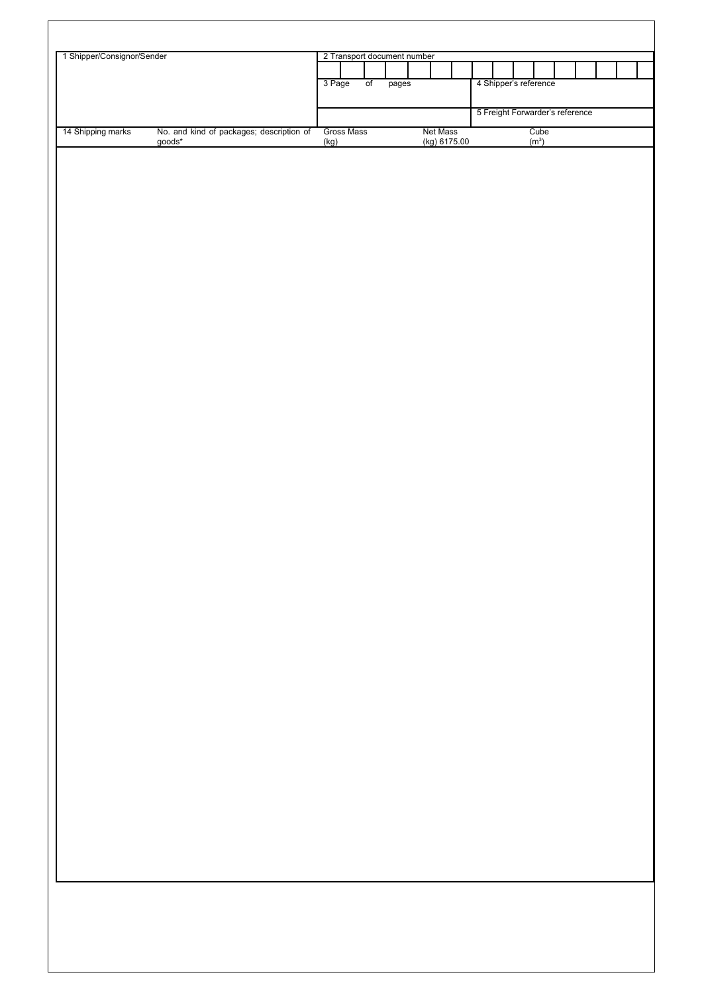| 1 Shipper/Consignor/Sender |                                                 | 2 Transport document number |                 |         |              |                                 |                       |  |  |  |  |  |  |
|----------------------------|-------------------------------------------------|-----------------------------|-----------------|---------|--------------|---------------------------------|-----------------------|--|--|--|--|--|--|
|                            |                                                 |                             |                 |         |              |                                 |                       |  |  |  |  |  |  |
|                            |                                                 | 3 Page                      | $\overline{of}$ | $pages$ |              |                                 | 4 Shipper's reference |  |  |  |  |  |  |
|                            |                                                 |                             |                 |         |              | 5 Freight Forwarder's reference |                       |  |  |  |  |  |  |
| 14 Shipping marks          | No. and kind of packages; description of goods* | Gross Mass                  |                 |         | Net Mass     |                                 | Cube $(m^3)$          |  |  |  |  |  |  |
|                            |                                                 | (kg)                        |                 |         | (kg) 6175.00 |                                 |                       |  |  |  |  |  |  |
|                            |                                                 |                             |                 |         |              |                                 |                       |  |  |  |  |  |  |
|                            |                                                 |                             |                 |         |              |                                 |                       |  |  |  |  |  |  |
|                            |                                                 |                             |                 |         |              |                                 |                       |  |  |  |  |  |  |
|                            |                                                 |                             |                 |         |              |                                 |                       |  |  |  |  |  |  |
|                            |                                                 |                             |                 |         |              |                                 |                       |  |  |  |  |  |  |
|                            |                                                 |                             |                 |         |              |                                 |                       |  |  |  |  |  |  |
|                            |                                                 |                             |                 |         |              |                                 |                       |  |  |  |  |  |  |
|                            |                                                 |                             |                 |         |              |                                 |                       |  |  |  |  |  |  |
|                            |                                                 |                             |                 |         |              |                                 |                       |  |  |  |  |  |  |
|                            |                                                 |                             |                 |         |              |                                 |                       |  |  |  |  |  |  |
|                            |                                                 |                             |                 |         |              |                                 |                       |  |  |  |  |  |  |
|                            |                                                 |                             |                 |         |              |                                 |                       |  |  |  |  |  |  |
|                            |                                                 |                             |                 |         |              |                                 |                       |  |  |  |  |  |  |
|                            |                                                 |                             |                 |         |              |                                 |                       |  |  |  |  |  |  |
|                            |                                                 |                             |                 |         |              |                                 |                       |  |  |  |  |  |  |
|                            |                                                 |                             |                 |         |              |                                 |                       |  |  |  |  |  |  |
|                            |                                                 |                             |                 |         |              |                                 |                       |  |  |  |  |  |  |
|                            |                                                 |                             |                 |         |              |                                 |                       |  |  |  |  |  |  |
|                            |                                                 |                             |                 |         |              |                                 |                       |  |  |  |  |  |  |
|                            |                                                 |                             |                 |         |              |                                 |                       |  |  |  |  |  |  |
|                            |                                                 |                             |                 |         |              |                                 |                       |  |  |  |  |  |  |
|                            |                                                 |                             |                 |         |              |                                 |                       |  |  |  |  |  |  |
|                            |                                                 |                             |                 |         |              |                                 |                       |  |  |  |  |  |  |
|                            |                                                 |                             |                 |         |              |                                 |                       |  |  |  |  |  |  |
|                            |                                                 |                             |                 |         |              |                                 |                       |  |  |  |  |  |  |
|                            |                                                 |                             |                 |         |              |                                 |                       |  |  |  |  |  |  |
|                            |                                                 |                             |                 |         |              |                                 |                       |  |  |  |  |  |  |
|                            |                                                 |                             |                 |         |              |                                 |                       |  |  |  |  |  |  |
|                            |                                                 |                             |                 |         |              |                                 |                       |  |  |  |  |  |  |
|                            |                                                 |                             |                 |         |              |                                 |                       |  |  |  |  |  |  |
|                            |                                                 |                             |                 |         |              |                                 |                       |  |  |  |  |  |  |
|                            |                                                 |                             |                 |         |              |                                 |                       |  |  |  |  |  |  |
|                            |                                                 |                             |                 |         |              |                                 |                       |  |  |  |  |  |  |
|                            |                                                 |                             |                 |         |              |                                 |                       |  |  |  |  |  |  |
|                            |                                                 |                             |                 |         |              |                                 |                       |  |  |  |  |  |  |
|                            |                                                 |                             |                 |         |              |                                 |                       |  |  |  |  |  |  |
|                            |                                                 |                             |                 |         |              |                                 |                       |  |  |  |  |  |  |
|                            |                                                 |                             |                 |         |              |                                 |                       |  |  |  |  |  |  |
|                            |                                                 |                             |                 |         |              |                                 |                       |  |  |  |  |  |  |
|                            |                                                 |                             |                 |         |              |                                 |                       |  |  |  |  |  |  |
|                            |                                                 |                             |                 |         |              |                                 |                       |  |  |  |  |  |  |
|                            |                                                 |                             |                 |         |              |                                 |                       |  |  |  |  |  |  |
|                            |                                                 |                             |                 |         |              |                                 |                       |  |  |  |  |  |  |
|                            |                                                 |                             |                 |         |              |                                 |                       |  |  |  |  |  |  |